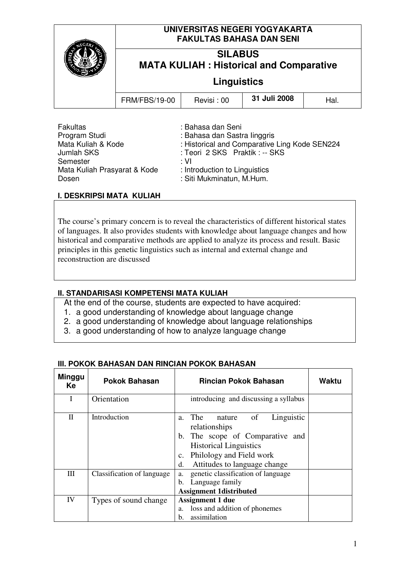|                 | UNIVERSITAS NEGERI YOGYAKARTA<br><b>FAKULTAS BAHASA DAN SENI</b><br><b>SILABUS</b><br><b>MATA KULIAH: Historical and Comparative</b><br><b>Linguistics</b> |                   |              |      |
|-----------------|------------------------------------------------------------------------------------------------------------------------------------------------------------|-------------------|--------------|------|
|                 |                                                                                                                                                            |                   |              |      |
|                 |                                                                                                                                                            |                   |              |      |
|                 | <b>FRM/FBS/19-00</b>                                                                                                                                       | Revisi: 00        | 31 Juli 2008 | Hal. |
| <b>Fakultas</b> |                                                                                                                                                            | : Bahasa dan Seni |              |      |

| <b>Fakultas</b>              | : Bahasa dan Seni                             |
|------------------------------|-----------------------------------------------|
| Program Studi                | : Bahasa dan Sastra linggris                  |
| Mata Kuliah & Kode           | : Historical and Comparative Ling Kode SEN224 |
| Jumlah SKS                   | : Teori 2 SKS Praktik : -- SKS                |
| Semester                     | ∴ VI                                          |
| Mata Kuliah Prasyarat & Kode | : Introduction to Linguistics                 |
| Dosen                        | : Siti Mukminatun, M.Hum.                     |

# **I. DESKRIPSI MATA KULIAH**

The course's primary concern is to reveal the characteristics of different historical states of languages. It also provides students with knowledge about language changes and how historical and comparative methods are applied to analyze its process and result. Basic principles in this genetic linguistics such as internal and external change and reconstruction are discussed

# **II. STANDARISASI KOMPETENSI MATA KULIAH**

At the end of the course, students are expected to have acquired:

- 1. a good understanding of knowledge about language change
- 2. a good understanding of knowledge about language relationships
- 3. a good understanding of how to analyze language change

# **III. POKOK BAHASAN DAN RINCIAN POKOK BAHASAN**

| <b>Minggu</b><br>Ke | <b>Pokok Bahasan</b>       | <b>Rincian Pokok Bahasan</b>                                                                                                                                                                                       | Waktu |
|---------------------|----------------------------|--------------------------------------------------------------------------------------------------------------------------------------------------------------------------------------------------------------------|-------|
| I                   | Orientation                | introducing and discussing a syllabus                                                                                                                                                                              |       |
| $\mathbf{I}$        | Introduction               | - of<br>Linguistic<br>The<br>nature<br>a.<br>relationships<br>b. The scope of Comparative and<br><b>Historical Linguistics</b><br>Philology and Field work<br>$\mathbf{c}$ .<br>Attitudes to language change<br>d. |       |
| Ш                   | Classification of language | genetic classification of language<br>a.<br>Language family<br>b.<br><b>Assignment 1distributed</b>                                                                                                                |       |
| IV                  | Types of sound change      | <b>Assignment 1 due</b><br>loss and addition of phonemes<br>a.<br>assimilation<br>h.                                                                                                                               |       |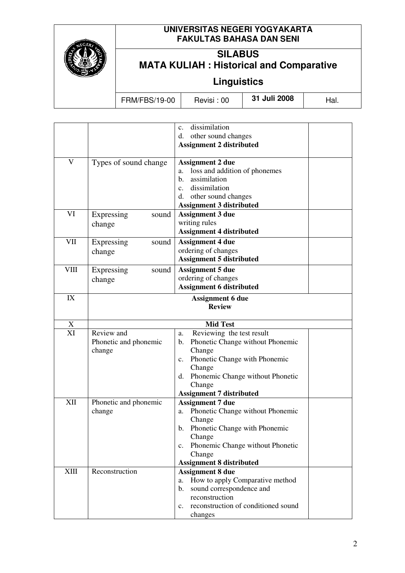

# **UNIVERSITAS NEGERI YOGYAKARTA FAKULTAS BAHASA DAN SENI**

# **SILABUS MATA KULIAH : Historical and Comparative**

**Linguistics** 

FRM/FBS/19-00 Revisi : 00 **31 Juli 2008** Hal.

|             |                         | dissimilation<br>$\mathbf{c}$ .                       |  |
|-------------|-------------------------|-------------------------------------------------------|--|
|             |                         | other sound changes<br>d.                             |  |
|             |                         | <b>Assignment 2 distributed</b>                       |  |
|             |                         |                                                       |  |
| V           | Types of sound change   | <b>Assignment 2 due</b>                               |  |
|             |                         | loss and addition of phonemes<br>a.                   |  |
|             |                         | assimilation<br>b.                                    |  |
|             |                         | dissimilation<br>$c_{\cdot}$                          |  |
|             |                         | other sound changes<br>d.                             |  |
|             |                         | <b>Assignment 3 distributed</b>                       |  |
| VI          | Expressing<br>sound     | <b>Assignment 3 due</b>                               |  |
|             | change                  | writing rules                                         |  |
|             |                         | <b>Assignment 4 distributed</b>                       |  |
| VII         | Expressing<br>sound     | <b>Assignment 4 due</b>                               |  |
|             | change                  | ordering of changes                                   |  |
|             |                         | <b>Assignment 5 distributed</b>                       |  |
| <b>VIII</b> | Expressing<br>sound     | <b>Assignment 5 due</b>                               |  |
|             | change                  | ordering of changes                                   |  |
|             |                         | <b>Assignment 6 distributed</b>                       |  |
| IX          | <b>Assignment 6 due</b> |                                                       |  |
|             |                         | <b>Review</b>                                         |  |
| X           |                         | <b>Mid Test</b>                                       |  |
| XI          | Review and              | Reviewing the test result<br>a.                       |  |
|             | Phonetic and phonemic   | Phonetic Change without Phonemic<br>b.                |  |
|             | change                  | Change                                                |  |
|             |                         | Phonetic Change with Phonemic<br>$c_{\cdot}$          |  |
|             |                         | Change                                                |  |
|             |                         | d. Phonemic Change without Phonetic                   |  |
|             |                         | Change                                                |  |
|             |                         | <b>Assignment 7 distributed</b>                       |  |
| XII         | Phonetic and phonemic   | <b>Assignment 7 due</b>                               |  |
|             | change                  | a. Phonetic Change without Phonemic                   |  |
|             |                         | Change                                                |  |
|             |                         | b. Phonetic Change with Phonemic                      |  |
|             |                         | Change                                                |  |
|             |                         | Phonemic Change without Phonetic<br>$c_{\cdot}$       |  |
|             |                         | Change                                                |  |
|             |                         | <b>Assignment 8 distributed</b>                       |  |
| <b>XIII</b> | Reconstruction          | <b>Assignment 8 due</b>                               |  |
|             |                         | How to apply Comparative method<br>a.                 |  |
|             |                         | sound correspondence and<br>$\mathbf{b}$ .            |  |
|             |                         | reconstruction                                        |  |
|             |                         | reconstruction of conditioned sound<br>$\mathbf{c}$ . |  |
|             |                         | changes                                               |  |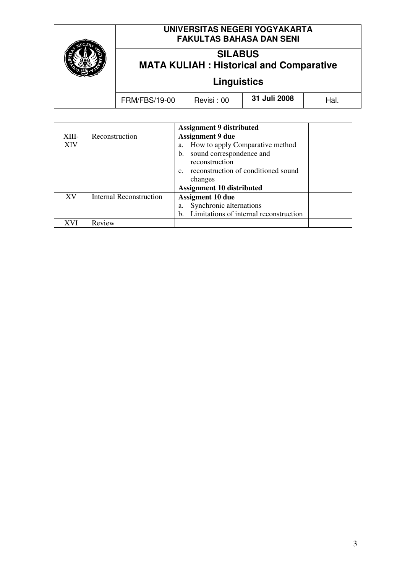

# **UNIVERSITAS NEGERI YOGYAKARTA FAKULTAS BAHASA DAN SENI**

# **SILABUS MATA KULIAH : Historical and Comparative**

**Linguistics** 

FRM/FBS/19-00 Revisi : 00 **31 Juli 2008** Hal.

|            |                         | <b>Assignment 9 distributed</b>        |  |
|------------|-------------------------|----------------------------------------|--|
| XIII-      | Reconstruction          | <b>Assignment 9 due</b>                |  |
| <b>XIV</b> |                         | How to apply Comparative method<br>a.  |  |
|            |                         | sound correspondence and<br>b.         |  |
|            |                         | reconstruction                         |  |
|            |                         | reconstruction of conditioned sound    |  |
|            |                         | changes                                |  |
|            |                         | <b>Assignment 10 distributed</b>       |  |
| XV         | Internal Reconstruction | <b>Assigment 10 due</b>                |  |
|            |                         | Synchronic alternations<br>a.          |  |
|            |                         | Limitations of internal reconstruction |  |
|            | Review                  |                                        |  |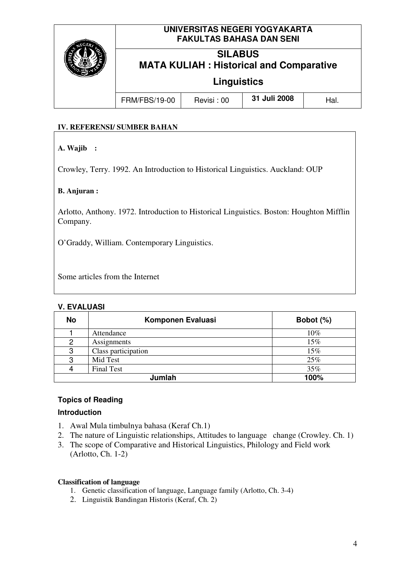

## **IV. REFERENSI/ SUMBER BAHAN**

# **A. Wajib :**

Crowley, Terry. 1992. An Introduction to Historical Linguistics. Auckland: OUP

## **B. Anjuran :**

Arlotto, Anthony. 1972. Introduction to Historical Linguistics. Boston: Houghton Mifflin Company.

O'Graddy, William. Contemporary Linguistics.

Some articles from the Internet

#### **V. EVALUASI**

| <b>No</b> | Komponen Evaluasi   | Bobot (%) |
|-----------|---------------------|-----------|
|           | Attendance          | $10\%$    |
| 2         | Assignments         | 15%       |
| 3         | Class participation | 15%       |
| 3         | Mid Test            | 25%       |
|           | <b>Final Test</b>   | 35%       |
|           | 100%                |           |

# **Topics of Reading**

#### **Introduction**

- 1. Awal Mula timbulnya bahasa (Keraf Ch.1)
- 2. The nature of Linguistic relationships, Attitudes to language change (Crowley. Ch. 1)
- 3. The scope of Comparative and Historical Linguistics, Philology and Field work (Arlotto, Ch. 1-2)

#### **Classification of language**

- 1. Genetic classification of language, Language family (Arlotto, Ch. 3-4)
- 2. Linguistik Bandingan Historis (Keraf, Ch. 2)